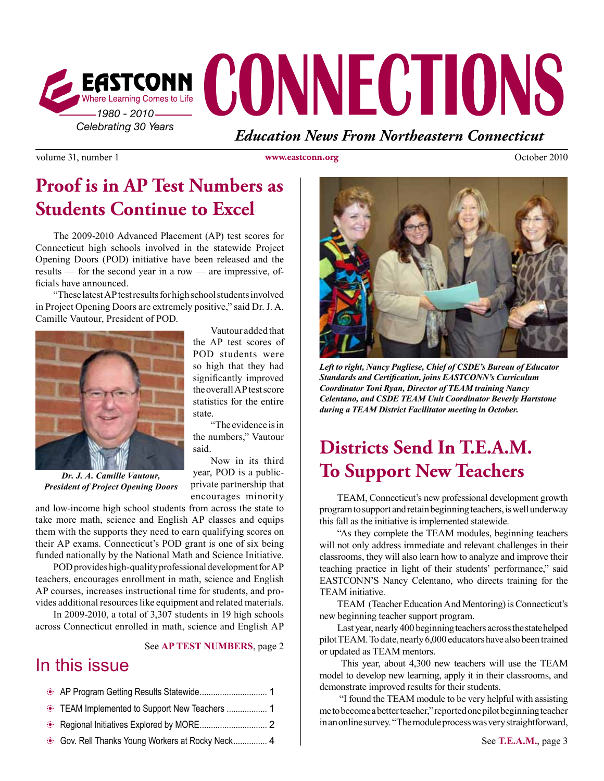

volume 31, number 1 **www.eastconn.org** October 2010

### **Proof is in AP Test Numbers as Students Continue to Excel**

The 2009-2010 Advanced Placement (AP) test scores for Connecticut high schools involved in the statewide Project Opening Doors (POD) initiative have been released and the results — for the second year in a row — are impressive, offcials have announced.

"These latest AP test results for high school students involved in Project Opening Doors are extremely positive," said Dr. J. A. Camille Vautour, President of POD.



Vautour added that the AP test scores of POD students were so high that they had signifcantly improved the overall AP test score statistics for the entire state.

"The evidence is in the numbers," Vautour said.

Now in its third year, POD is a publicprivate partnership that encourages minority

*Dr. J. A. Camille Vautour, President of Project Opening Doors*

and low-income high school students from across the state to take more math, science and English AP classes and equips them with the supports they need to earn qualifying scores on their AP exams. Connecticut's POD grant is one of six being funded nationally by the National Math and Science Initiative.

POD provides high-quality professional development for AP teachers, encourages enrollment in math, science and English AP courses, increases instructional time for students, and provides additional resources like equipment and related materials.

In 2009-2010, a total of 3,307 students in 19 high schools across Connecticut enrolled in math, science and English AP

See **AP TEST NUMBERS**, page 2

### In this issue



*Left to right, Nancy Pugliese, Chief of CSDE's Bureau of Educator Standards and Certifcation, joins EASTCONN's Curriculum Coordinator Toni Ryan, Director of TEAM training Nancy Celentano, and CSDE TEAM Unit Coordinator Beverly Hartstone during a TEAM District Facilitator meeting in October.* 

# **Districts Send In T.E.A.M. To Support New Teachers**

TEAM, Connecticut's new professional development growth program to support and retain beginning teachers, is well underway this fall as the initiative is implemented statewide.

"As they complete the TEAM modules, beginning teachers will not only address immediate and relevant challenges in their classrooms, they will also learn how to analyze and improve their teaching practice in light of their students' performance," said EASTCONN'S Nancy Celentano, who directs training for the TEAM initiative.

TEAM (Teacher Education And Mentoring) is Connecticut's new beginning teacher support program.

Last year, nearly 400 beginning teachers across the state helped pilot TEAM. To date, nearly 6,000 educators have also been trained or updated as TEAM mentors.

 This year, about 4,300 new teachers will use the TEAM model to develop new learning, apply it in their classrooms, and demonstrate improved results for their students.

 "I found the TEAM module to be very helpful with assisting me to become a better teacher," reported one pilot beginning teacher in an online survey. "The module process was very straightforward,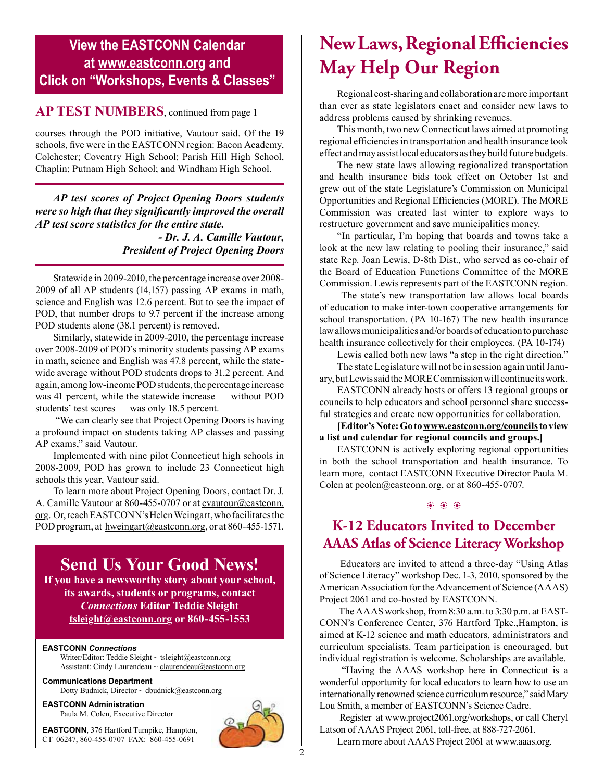### **View the EASTCONN Calendar at <www.eastconn.org> and Click on "Workshops, Events & Classes"**

#### **AP TEST NUMBERS**, continued from page 1

courses through the POD initiative, Vautour said. Of the 19 schools, fve were in the EASTCONN region: Bacon Academy, Colchester; Coventry High School; Parish Hill High School, Chaplin; Putnam High School; and Windham High School.

*AP test scores of Project Opening Doors students were so high that they signifcantly improved the overall AP test score statistics for the entire state.* 

 *- Dr. J. A. Camille Vautour, President of Project Opening Doors* 

Statewide in 2009-2010, the percentage increase over 2008- 2009 of all AP students (14,157) passing AP exams in math, science and English was 12.6 percent. But to see the impact of POD, that number drops to 9.7 percent if the increase among POD students alone (38.1 percent) is removed.

Similarly, statewide in 2009-2010, the percentage increase over 2008-2009 of POD's minority students passing AP exams in math, science and English was 47.8 percent, while the statewide average without POD students drops to 31.2 percent. And again, among low-income POD students, the percentage increase was 41 percent, while the statewide increase — without POD students' test scores — was only 18.5 percent.

 "We can clearly see that Project Opening Doors is having a profound impact on students taking AP classes and passing AP exams," said Vautour.

Implemented with nine pilot Connecticut high schools in 2008-2009, POD has grown to include 23 Connecticut high schools this year, Vautour said.

To learn more about Project Opening Doors, contact Dr. J. A. Camille Vautour at 860-455-0707 or at *cvautour@eastconn*. [org](mailto:cvautour@eastconn.org). Or, reach EASTCONN's Helen Weingart, who facilitates the POD program, at [hweingart@eastconn.org](mailto:hweingart%40eastconn.org?subject=), or at 860-455-1571.

### **Send Us Your Good News!**

**If you have a newsworthy story about your school, its awards, students or programs, contact**  *Connections* **Editor Teddie Sleight [tsleight@eastconn.org](mailto:tsleight%40eastconn.org?subject=) or 860-455-1553**

#### **EASTCONN** *Connections*

Writer/Editor: Teddie Sleight ~ tsleight@eastconn.org Assistant: Cindy Laurendeau  $\sim$  [claurendeau@eastconn.org](mailto:claurendeau@eastconn.org)

**[Communications Department](%20mailto:connections@eastconn.org)** [Dotty Budnick](mailto:dbudnick@eastconn.org), Director  $\sim$  dbudnick@eastconn.org

**EASTCONN Administration** Paula M. Colen, Executive Director

**EASTCONN**, 376 Hartford Turnpike, Hampton, CT 06247, 860-455-0707 FAX: 860-455-0691



# **New Laws, Regional E!ciencies May Help Our Region**

Regional cost-sharing and collaboration are more important than ever as state legislators enact and consider new laws to address problems caused by shrinking revenues.

This month, two new Connecticut laws aimed at promoting regional effciencies in transportation and health insurance took effect and may assist local educators as they build future budgets.

The new state laws allowing regionalized transportation and health insurance bids took effect on October 1st and grew out of the state Legislature's Commission on Municipal Opportunities and Regional Effciencies (MORE). The MORE Commission was created last winter to explore ways to restructure government and save municipalities money.

"In particular, I'm hoping that boards and towns take a look at the new law relating to pooling their insurance," said state Rep. Joan Lewis, D-8th Dist., who served as co-chair of the Board of Education Functions Committee of the MORE Commission. Lewis represents part of the EASTCONN region.

 The state's new transportation law allows local boards of education to make inter-town cooperative arrangements for school transportation. ([PA 10-167](http://www.cga.ct.gov/asp/cgabillstatus/cgabillstatus.asp?selBillType=Public+Act&bill_num=167&which_year=2010&SUBMIT1.x=0&SUBMIT1.y=0&SUBMIT1=Normal)) The new health insurance law allows municipalities and/or boards of education to purchase health insurance collectively for their employees. ([PA 10-174](http://www.cga.ct.gov/asp/cgabillstatus/cgabillstatus.asp?selBillType=Public+Act&bill_num=174&which_year=2010&SUBMIT1.x=0&SUBMIT1.y=0&SUBMIT1=Normal))

Lewis called both new laws "a step in the right direction." The state Legislature will not be in session again until January, but Lewis said the MORE Commission will continue its work.

EASTCONN already hosts or offers 13 regional groups or councils to help educators and school personnel share successful strategies and create new opportunities for collaboration.

**[Editor's Note: Go to [www.eastconn.org/councils](http://www.eastconn.org/councils) to view a list and calendar for regional councils and groups.]**

EASTCONN is actively exploring regional opportunities in both the school transportation and health insurance. To learn more, contact EASTCONN Executive Director Paula M. Colen at [pcolen@eastconn.org,](mailto:pcolen@eastconn.org) or at 860-455-0707.

### **K-12 Educators Invited to December**   $\circledast$   $\circledast$

# **AAAS Atlas of Science Literacy Workshop**

 Educators are invited to attend a three-day "Using Atlas of Science Literacy" workshop Dec. 1-3, 2010, sponsored by the American Association for the Advancement of Science (AAAS) Project 2061 and co-hosted by EASTCONN.

 The AAAS workshop, from 8:30 a.m. to 3:30 p.m. at EAST-CONN's Conference Center, 376 Hartford Tpke.,Hampton, is aimed at K-12 science and math educators, administrators and curriculum specialists. Team participation is encouraged, but individual registration is welcome. Scholarships are available.

 "Having the AAAS workshop here in Connecticut is a wonderful opportunity for local educators to learn how to use an internationally renowned science curriculum resource," said Mary Lou Smith, a member of EASTCONN's Science Cadre.

 Register at [www.project2061.org/workshops](http://www.project2061.org/workshops), or call Cheryl Latson of AAAS Project 2061, toll-free, at 888-727-2061.

Learn more about AAAS Project 2061 at [www.aaas.org](http://www.aaas.org).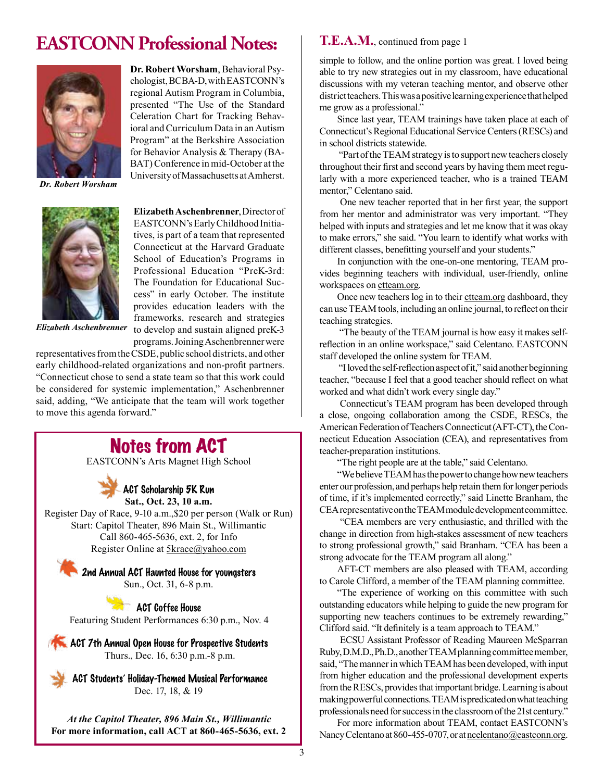# **EASTCONN Professional Notes:**



*Dr. Robert Worsham*



**Elizabeth Aschenbrenner**, Director of EASTCONN's Early Childhood Initiatives, is part of a team that represented Connecticut at the Harvard Graduate School of Education's Programs in Professional Education "PreK-3rd: The Foundation for Educational Success" in early October. The institute provides education leaders with the frameworks, research and strategies to develop and sustain aligned preK-3 programs. Joining Aschenbrenner were

**Dr. Robert Worsham**, Behavioral Psychologist, BCBA-D, with EASTCONN's regional Autism Program in Columbia, presented "The Use of the Standard Celeration Chart for Tracking Behavioral and Curriculum Data in an Autism Program" at the Berkshire Association for Behavior Analysis & Therapy (BA-BAT) Conference in mid-October at the University of Massachusetts at Amherst.

*Elizabeth Aschenbrenner*

representatives from the CSDE, public school districts, and other early childhood-related organizations and non-proft partners. "Connecticut chose to send a state team so that this work could be considered for systemic implementation," Aschenbrenner said, adding, "We anticipate that the team will work together to move this agenda forward."

## Notes from ACT

EASTCONN's Arts Magnet High School

### ACT Scholarship 5K Run

**Sat., Oct. 23, 10 a.m.**

Register Day of Race, 9-10 a.m.,\$20 per person (Walk or Run) Start: Capitol Theater, 896 Main St., Willimantic Call 860-465-5636, ext. 2, for Info Register Online at [5krace@yahoo.com](mailto:5krace@yahoo.com)

> **2nd Annual ACT Haunted House for youngsters** Sun., Oct. 31, 6-8 p.m.

> > ACT Coffee House

Featuring Student Performances 6:30 p.m., Nov. 4

**ACT 7th Annual Open House for Prospective Students** Thurs., Dec. 16, 6:30 p.m.-8 p.m.

ACT Students' Holiday-Themed Musical Performance Dec. 17, 18, & 19

*At the Capitol Theater, 896 Main St., Willimantic* **For more information, call ACT at 860-465-5636, ext. 2** 

#### **T.E.A.M.**, continued from page 1

simple to follow, and the online portion was great. I loved being able to try new strategies out in my classroom, have educational discussions with my veteran teaching mentor, and observe other district teachers. This was a positive learning experience that helped me grow as a professional."

Since last year, TEAM trainings have taken place at each of Connecticut's Regional Educational Service Centers (RESCs) and in school districts statewide.

 "Part of the TEAM strategy is to support new teachers closely throughout their frst and second years by having them meet regularly with a more experienced teacher, who is a trained TEAM mentor," Celentano said.

 One new teacher reported that in her frst year, the support from her mentor and administrator was very important. "They helped with inputs and strategies and let me know that it was okay to make errors," she said. "You learn to identify what works with different classes, beneftting yourself and your students."

In conjunction with the one-on-one mentoring, TEAM provides beginning teachers with individual, user-friendly, online workspaces on [ctteam.org](http://www.ctteam.org).

Once new teachers log in to their ctteam.org dashboard, they can use TEAM tools, including an online journal, to refect on their teaching strategies.

 "The beauty of the TEAM journal is how easy it makes selfrefection in an online workspace," said Celentano. EASTCONN staff developed the online system for TEAM.

 "I loved the self-refection aspect of it," said another beginning teacher, "because I feel that a good teacher should refect on what worked and what didn't work every single day."

 Connecticut's TEAM program has been developed through a close, ongoing collaboration among the CSDE, RESCs, the American Federation of Teachers Connecticut (AFT-CT), the Connecticut Education Association (CEA), and representatives from teacher-preparation institutions.

"The right people are at the table," said Celentano.

"We believe TEAM has the power to change how new teachers enter our profession, and perhaps help retain them for longer periods of time, if it's implemented correctly," said Linette Branham, the CEA representative on the TEAM module development committee.

 "CEA members are very enthusiastic, and thrilled with the change in direction from high-stakes assessment of new teachers to strong professional growth," said Branham. "CEA has been a strong advocate for the TEAM program all along."

AFT-CT members are also pleased with TEAM, according to Carole Clifford, a member of the TEAM planning committee.

"The experience of working on this committee with such outstanding educators while helping to guide the new program for supporting new teachers continues to be extremely rewarding," Clifford said. "It defnitely is a team approach to TEAM."

 ECSU Assistant Professor of Reading Maureen McSparran Ruby, D.M.D., Ph.D., another TEAM planning committee member, said, "The manner in which TEAM has been developed, with input from higher education and the professional development experts from the RESCs, provides that important bridge. Learning is about making powerful connections. TEAM is predicated on what teaching professionals need for success in the classroom of the 21st century."

For more information about TEAM, contact EASTCONN's Nancy Celentano at 860-455-0707, or at [ncelentano@eastconn.org.](mailto:ncelentano%40eastconn.org?subject=)